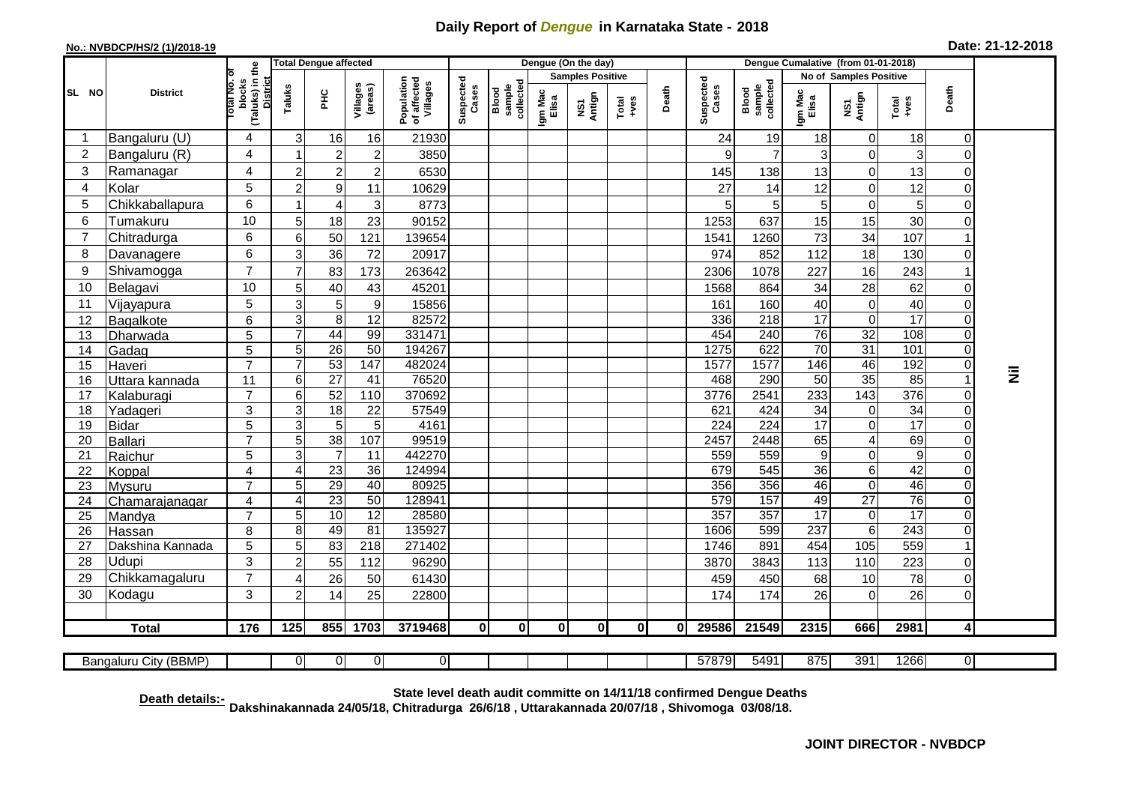## **Daily Report of** *Dengue* **in Karnataka State - 2018**

## **No.: NVBDCP/HS/2 (1)/2018-19 Date: 21-12-2018**

|                                                                                                                                            |                          |                                                      | <b>Total Dengue affected</b> |                       |                     |                                       | Dengue (On the day) |                              |                         |               |               |              |                    |                              |                       |                  |                      |                         |           |
|--------------------------------------------------------------------------------------------------------------------------------------------|--------------------------|------------------------------------------------------|------------------------------|-----------------------|---------------------|---------------------------------------|---------------------|------------------------------|-------------------------|---------------|---------------|--------------|--------------------|------------------------------|-----------------------|------------------|----------------------|-------------------------|-----------|
|                                                                                                                                            |                          | the                                                  |                              |                       |                     |                                       | Suspected<br>Cases  |                              | <b>Samples Positive</b> |               |               |              |                    | No of Samples Positive       |                       |                  |                      |                         |           |
| SL NO                                                                                                                                      | <b>District</b>          | (Taluks) in<br><b>District</b><br>blocks<br>otal No. | Taluks                       | 꾿                     | Villages<br>(areas) | Population<br>of affected<br>Villages |                     | sample<br>collectec<br>Blood | Igm Mac<br>Elisa        | NS1<br>Antign | Total<br>+ves | Death        | Suspected<br>Cases | sample<br>collected<br>Blood | Igm Mac<br>Elisa      | NS1<br>Antign    | Total<br>+ves        | Death                   |           |
| -1                                                                                                                                         | Bangaluru (U)            | 4                                                    | 3                            | 16                    | 16                  | 21930                                 |                     |                              |                         |               |               |              | 24                 | 19                           | 18                    | 0                | 18                   | $\Omega$                |           |
| $\overline{2}$                                                                                                                             | Bangaluru (R)            | 4                                                    | 1                            | $\overline{c}$        | $\boldsymbol{2}$    | 3850                                  |                     |                              |                         |               |               |              | 9                  | $\overline{7}$               | 3                     | $\mathbf 0$      | 3                    | 0                       |           |
| 3                                                                                                                                          | Ramanagar                | 4                                                    | $\overline{c}$               | $\overline{c}$        | $\overline{c}$      | 6530                                  |                     |                              |                         |               |               |              | 145                | 138                          | 13                    | $\mathbf 0$      | 13                   | 0                       |           |
| 4                                                                                                                                          | Kolar                    | 5                                                    | $\overline{a}$               | 9                     | 11                  | 10629                                 |                     |                              |                         |               |               |              | 27                 | 14                           | 12                    | $\mathsf 0$      | 12                   | $\mathbf 0$             |           |
| 5                                                                                                                                          | Chikkaballapura          | 6                                                    | 1                            | $\overline{4}$        | $\sqrt{3}$          | 8773                                  |                     |                              |                         |               |               |              | 5                  | 5                            | 5                     | $\mathsf 0$      | 5                    | $\Omega$                |           |
| 6                                                                                                                                          | Tumakuru                 | 10                                                   | $5\overline{)}$              | 18                    | 23                  | 90152                                 |                     |                              |                         |               |               |              | 1253               | 637                          | 15                    | 15               | 30                   | $\Omega$                |           |
| 7                                                                                                                                          | Chitradurga              | 6                                                    | 6                            | 50                    | 121                 | 139654                                |                     |                              |                         |               |               |              | 1541               | 1260                         | 73                    | 34               | 107                  |                         |           |
| 8                                                                                                                                          | Davanagere               | 6                                                    | 3                            | 36                    | 72                  | 20917                                 |                     |                              |                         |               |               |              | 974                | 852                          | 112                   | $\overline{18}$  | 130                  | $\Omega$                |           |
| 9                                                                                                                                          | Shivamogga               | $\overline{7}$                                       | $\overline{7}$               | 83                    | 173                 | 263642                                |                     |                              |                         |               |               |              | 2306               | 1078                         | 227                   | 16               | 243                  |                         |           |
| 10                                                                                                                                         | Belagavi                 | 10                                                   | 5                            | 40                    | 43                  | 45201                                 |                     |                              |                         |               |               |              | 1568               | 864                          | 34                    | 28               | 62                   | $\Omega$                |           |
| 11                                                                                                                                         | Vijayapura               | 5                                                    | 3                            | 5                     | $\boldsymbol{9}$    | 15856                                 |                     |                              |                         |               |               |              | 161                | 160                          | 40                    | $\mathsf 0$      | 40                   | $\Omega$                |           |
| 12                                                                                                                                         | Bagalkote                | 6                                                    | 3                            | 8                     | $\overline{12}$     | 82572                                 |                     |                              |                         |               |               |              | 336                | 218                          | $\overline{17}$       | $\overline{0}$   | $\overline{17}$      | $\Omega$                |           |
| 13                                                                                                                                         | Dharwada                 | 5                                                    | $\overline{7}$               | 44                    | 99                  | 331471                                |                     |                              |                         |               |               |              | 454                | 240                          | 76                    | 32               | 108                  | $\Omega$                |           |
| 14                                                                                                                                         | Gadag                    | $\overline{5}$                                       | $\overline{5}$               | 26                    | 50                  | 194267                                |                     |                              |                         |               |               |              | 1275               | 622                          | 70                    | 31               | 101                  | $\Omega$                |           |
| 15                                                                                                                                         | Haveri                   | $\overline{7}$                                       | $\overline{7}$               | 53                    | 147                 | 482024                                |                     |                              |                         |               |               |              | 1577               | 1577                         | 146                   | 46               | 192                  | $\overline{O}$          |           |
| 16                                                                                                                                         | Uttara kannada           | 11                                                   | 6                            | $\overline{27}$       | 41                  | 76520                                 |                     |                              |                         |               |               |              | 468                | 290                          | 50                    | 35               | 85                   | $\overline{1}$          | $\bar{z}$ |
| 17                                                                                                                                         | Kalaburagi               | $\overline{7}$                                       | 6                            | 52                    | 110                 | 370692                                |                     |                              |                         |               |               |              | 3776               | 2541                         | 233                   | $\frac{1}{143}$  | 376                  | 0                       |           |
| 18                                                                                                                                         | Yadageri                 | 3                                                    | 3                            | $\overline{18}$       | $\overline{22}$     | 57549                                 |                     |                              |                         |               |               |              | 621                | 424                          | $\overline{34}$       | 0                | 34                   | $\overline{0}$          |           |
| 19                                                                                                                                         | <b>Bidar</b>             | 5                                                    | 3                            | 5                     | 5                   | 4161                                  |                     |                              |                         |               |               |              | 224                | $\overline{224}$             | $\overline{17}$       | $\overline{0}$   | $\overline{17}$      | $\Omega$                |           |
| 20                                                                                                                                         | <b>Ballari</b>           | $\overline{7}$                                       | 5                            | 38                    | 107                 | 99519                                 |                     |                              |                         |               |               |              | 2457               | 2448                         | 65                    | $\overline{4}$   | 69                   | $\Omega$                |           |
| 21                                                                                                                                         | Raichur                  | $\overline{5}$                                       | 3<br>4                       | $\overline{7}$        | $\overline{11}$     | 442270                                |                     |                              |                         |               |               |              | 559                | 559                          | $\overline{9}$        | $\mathsf 0$      | $\overline{9}$<br>42 | $\mathbf 0$             |           |
| 22<br>23                                                                                                                                   | Koppal                   | $\overline{4}$<br>$\overline{7}$                     |                              | $\overline{23}$<br>29 | 36<br>40            | 124994<br>80925                       |                     |                              |                         |               |               |              | 679<br>356         | 545<br>356                   | $\overline{36}$<br>46 | 6<br>$\mathsf 0$ | 46                   | $\Omega$<br>0           |           |
| 24                                                                                                                                         | Mysuru<br>Chamarajanagar | 4                                                    | 5<br>4                       | 23                    | 50                  | 128941                                |                     |                              |                         |               |               |              | 579                | 157                          | 49                    | $\overline{27}$  | $\overline{76}$      | $\Omega$                |           |
| 25                                                                                                                                         | Mandya                   | $\overline{7}$                                       | 5 <sup>5</sup>               | 10                    | $\overline{12}$     | 28580                                 |                     |                              |                         |               |               |              | 357                | 357                          | 17                    | 0                | 17                   | $\Omega$                |           |
| 26                                                                                                                                         | Hassan                   | 8                                                    | 8                            | 49                    | $\overline{81}$     | 135927                                |                     |                              |                         |               |               |              | 1606               | 599                          | 237                   | $\overline{6}$   | 243                  | $\Omega$                |           |
| 27                                                                                                                                         | Dakshina Kannada         | $\overline{5}$                                       | 5                            | 83                    | $\overline{218}$    | 271402                                |                     |                              |                         |               |               |              | 1746               | 891                          | 454                   | 105              | 559                  | 1                       |           |
| 28                                                                                                                                         | Udupi                    | 3                                                    | $\overline{c}$               | 55                    | 112                 | 96290                                 |                     |                              |                         |               |               |              | 3870               | 3843                         | 113                   | 110              | 223                  | $\Omega$                |           |
| 29                                                                                                                                         | Chikkamagaluru           | $\overline{7}$                                       | 4                            | 26                    | 50                  | 61430                                 |                     |                              |                         |               |               |              | 459                | 450                          | 68                    | 10               | 78                   | $\Omega$                |           |
| 30                                                                                                                                         | Kodagu                   | 3                                                    | $\overline{2}$               | 14                    | 25                  | 22800                                 |                     |                              |                         |               |               |              | 174                | 174                          | 26                    | $\mathbf 0$      | 26                   | $\Omega$                |           |
|                                                                                                                                            |                          |                                                      |                              |                       |                     |                                       |                     |                              |                         |               |               |              |                    |                              |                       |                  |                      |                         |           |
|                                                                                                                                            | <b>Total</b>             | 176                                                  | $\overline{125}$             | 855                   | 1703                | 3719468                               | 0                   | $\mathbf{0}$                 | 0                       | $\mathbf{0}$  | $\mathbf{0}$  | $\mathbf{0}$ | 29586              | 21549                        | 2315                  | 666              | 2981                 | $\overline{\mathbf{4}}$ |           |
| $\overline{0}$<br>$\overline{0}$<br>57879<br>5491<br>875<br>391<br>1266<br>$\overline{0}$<br>Bangaluru City (BBMP)<br>01<br>$\overline{0}$ |                          |                                                      |                              |                       |                     |                                       |                     |                              |                         |               |               |              |                    |                              |                       |                  |                      |                         |           |

**Death details:- State level death audit committe on 14/11/18 confirmed Dengue Deaths Dakshinakannada 24/05/18, Chitradurga 26/6/18 , Uttarakannada 20/07/18 , Shivomoga 03/08/18.**